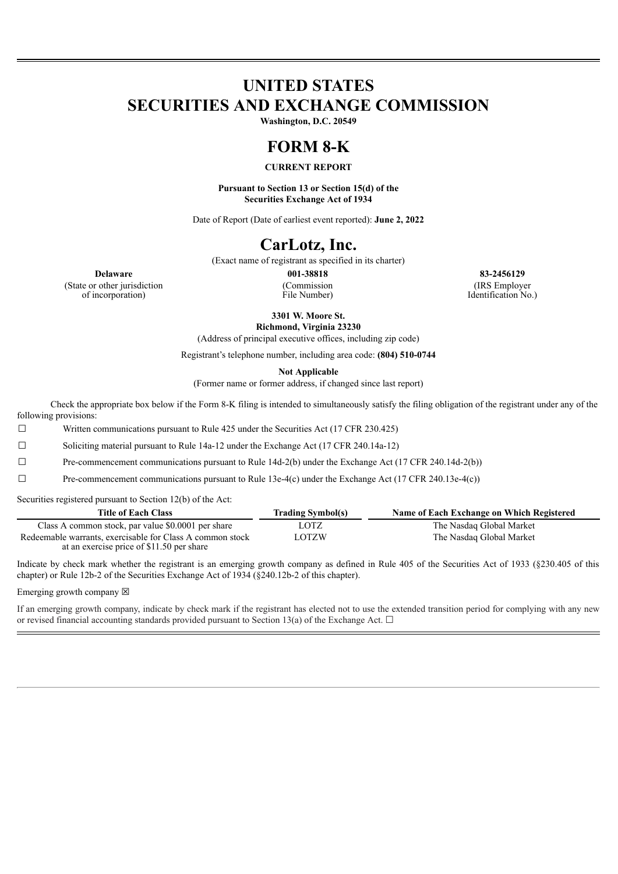# **UNITED STATES SECURITIES AND EXCHANGE COMMISSION**

**Washington, D.C. 20549**

# **FORM 8-K**

### **CURRENT REPORT**

**Pursuant to Section 13 or Section 15(d) of the Securities Exchange Act of 1934**

Date of Report (Date of earliest event reported): **June 2, 2022**

# **CarLotz, Inc.**

(Exact name of registrant as specified in its charter)

**Delaware 001-38818 83-2456129** (State or other jurisdiction of incorporation)

(Commission File Number)

(IRS Employer Identification No.)

**3301 W. Moore St. Richmond, Virginia 23230**

(Address of principal executive offices, including zip code)

Registrant's telephone number, including area code: **(804) 510-0744**

**Not Applicable**

(Former name or former address, if changed since last report)

Check the appropriate box below if the Form 8-K filing is intended to simultaneously satisfy the filing obligation of the registrant under any of the following provisions:

 $\Box$  Written communications pursuant to Rule 425 under the Securities Act (17 CFR 230.425)

☐ Soliciting material pursuant to Rule 14a-12 under the Exchange Act (17 CFR 240.14a-12)

☐ Pre-commencement communications pursuant to Rule 14d-2(b) under the Exchange Act (17 CFR 240.14d-2(b))

☐ Pre-commencement communications pursuant to Rule 13e-4(c) under the Exchange Act (17 CFR 240.13e-4(c))

Securities registered pursuant to Section 12(b) of the Act:

| <b>Title of Each Class</b>                                                                             | <b>Trading Symbol(s)</b> | Name of Each Exchange on Which Registered |
|--------------------------------------------------------------------------------------------------------|--------------------------|-------------------------------------------|
| Class A common stock, par value \$0.0001 per share                                                     | LOTZ                     | The Nasdaq Global Market                  |
| Redeemable warrants, exercisable for Class A common stock<br>at an exercise price of \$11.50 per share | LOTZW                    | The Nasdaq Global Market                  |

Indicate by check mark whether the registrant is an emerging growth company as defined in Rule 405 of the Securities Act of 1933 (§230.405 of this chapter) or Rule 12b-2 of the Securities Exchange Act of 1934 (§240.12b-2 of this chapter).

Emerging growth company  $\boxtimes$ 

If an emerging growth company, indicate by check mark if the registrant has elected not to use the extended transition period for complying with any new or revised financial accounting standards provided pursuant to Section 13(a) of the Exchange Act.  $\Box$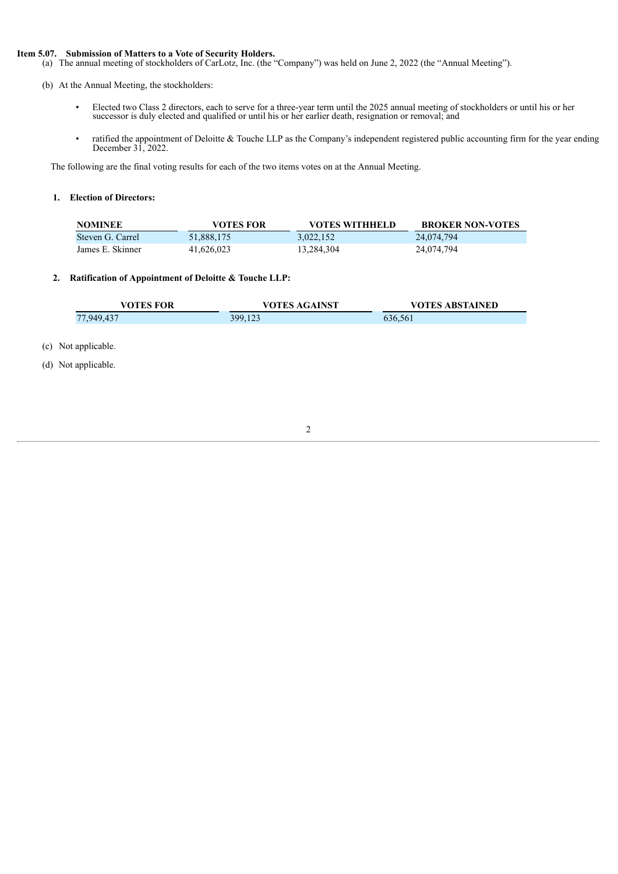#### **Item 5.07. Submission of Matters to a Vote of Security Holders.**

(a) The annual meeting of stockholders of CarLotz, Inc. (the "Company") was held on June 2, 2022 (the "Annual Meeting").

(b) At the Annual Meeting, the stockholders:

- Elected two Class 2 directors, each to serve for a three-year term until the 2025 annual meeting of stockholders or until his or her successor is duly elected and qualified or until his or her earlier death, resignation or removal; and
- ratified the appointment of Deloitte & Touche LLP as the Company's independent registered public accounting firm for the year ending December 31, 2022.

The following are the final voting results for each of the two items votes on at the Annual Meeting.

### **1. Election of Directors:**

| <b>NOMINEE</b>   | VOTES FOR  | <b>VOTES WITHHELD</b> | <b>BROKER NON-VOTES</b> |
|------------------|------------|-----------------------|-------------------------|
| Steven G. Carrel | 51,888,175 | 3.022.152             | 24,074,794              |
| James E. Skinner | 41.626.023 | 13.284.304            | 24,074,794              |

### **2. Ratification of Appointment of Deloitte & Touche LLP:**

| <b>VOTES FOR</b> | <b>VOTES AGAINST</b> | <b>VOTES ABSTAINED</b> |
|------------------|----------------------|------------------------|
| 77.949.437       | 399,123              | 636,561                |

(c) Not applicable.

(d) Not applicable.

2